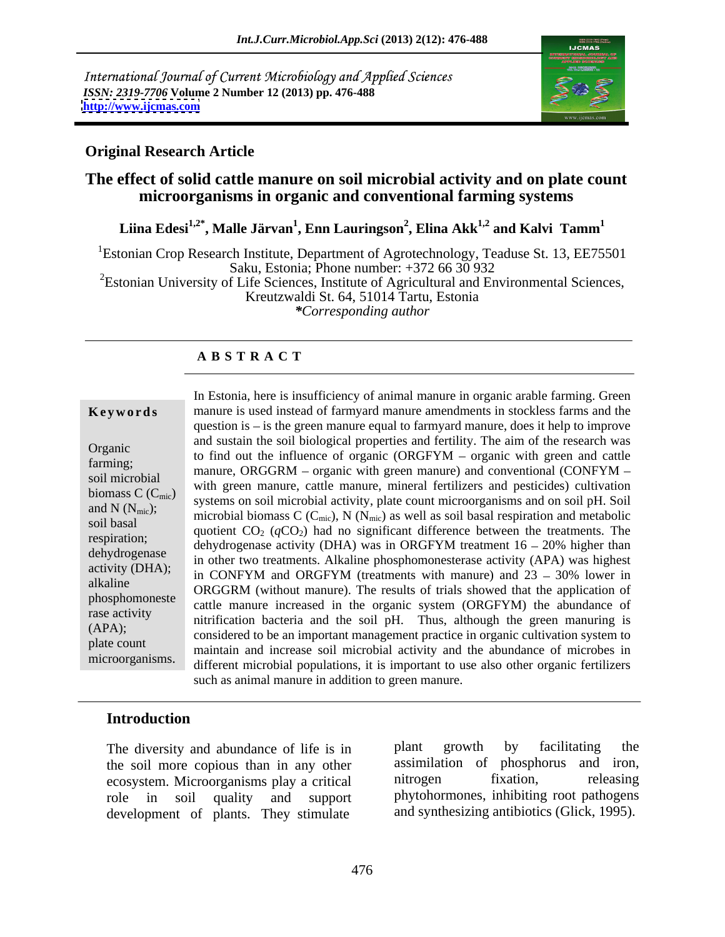International Journal of Current Microbiology and Applied Sciences *ISSN: 2319-7706* **Volume 2 Number 12 (2013) pp. 476-488 <http://www.ijcmas.com>**



## **Original Research Article**

# **The effect of solid cattle manure on soil microbial activity and on plate count microorganisms in organic and conventional farming systems**

**Liina Edesi1,2\* , Malle Järvan<sup>1</sup> , Enn Lauringson<sup>2</sup> , Elina Akk1,2 and Kalvi Tamm1**

<sup>1</sup>Estonian Crop Research Institute, Department of Agrotechnology, Teaduse St. 13, EE75501 Saku, Estonia; Phone number: +372 66 30 932

<sup>2</sup>Estonian University of Life Sciences, Institute of Agricultural and Environmental Sciences, Kreutzwaldi St. 64, 51014 Tartu, Estonia

*\*Corresponding author*

### **A B S T R A C T**

**Keywords** manure is used instead of farmyard manure amendments in stockless farms and the Organic<br>to find out the influence of organic (ORGFYM – organic with green and cattle farming;<br>manure, ORGGRM – organic with green manure) and conventional (CONFYM – soil microbial  $\alpha$  with green manure, cattle manure, mineral fertilizers and pesticides) cultivation biomass  $C$  ( $C_{\text{mic}}$ ) with given manufe, cattle manufe, inherial returneers and pesteriors) curriculation systems on soil microbial activity, plate count microorganisms and on soil pH. Soil and N ( $N_{\text{mic}}$ );<br>
microbial biomass C ( $C_{\text{mic}}$ ), N ( $N_{\text{mic}}$ ) as well as soil basal respiration and metabolic soil basal quotient  $CO_2$  ( $qCO_2$ ) had no significant difference between the treatments. The respiration;<br>dehydrogenase activity (DHA) was in ORGFYM treatment  $16 - 20\%$  higher than dehydrogenase in other two treatments. Alkaline phosphomonesterase activity (APA) was highest in other two treatments. Alkaline phosphomonesterase activity (APA) was highest activity (DHA); in Other two dealiness: The entropropriononesies are activity  $(1.17)$  was ingliest<br>allocations in CONFYM and ORGFYM (treatments with manure) and  $23 - 30\%$  lower in alkaline  $ORGGRM$  (without manure). The results of trials showed that the application of phosphomoneste<br>
cattle manure increased in the organic system (ORGFYM) the abundance of rase activity<br>
nitrification bacteria and the soil pH. Thus, although the green manuring is (APA); considered to be an important management practice in organic cultivation system to plate count<br>
maintain and increase soil microbial activity and the abundance of microbes in In Estonia, here is insufficiency of animal manure in organic arable farming. Green<br>manure is used instead of farmyard manure amendments in stockhess farms and the<br>question is – is the green manure equal to farmyard manur question is  $-\text{ is the green manure equal to farmyard manure, does it help to improve }$ and sustain the soil biological properties and fertility. The aim of the research was different microbial populations, it is important to use also other organic fertilizers such as animal manure in addition to green manure.

# **Introduction**

the soil more copious than in any other assimilation of phosphorus and iron,<br>ecosystem Microorganisms play a critical introgen fixation, releasing ecosystem. Microorganisms play a critical development of plants. They stimulate

The diversity and abundance of life is in plant growth by facilitating the role in soil quality and support phytohormones, inhibiting root pathogens plant growth by facilitating the assimilation of phosphorus and iron, nitrogen fixation, releasing and synthesizing antibiotics (Glick, 1995).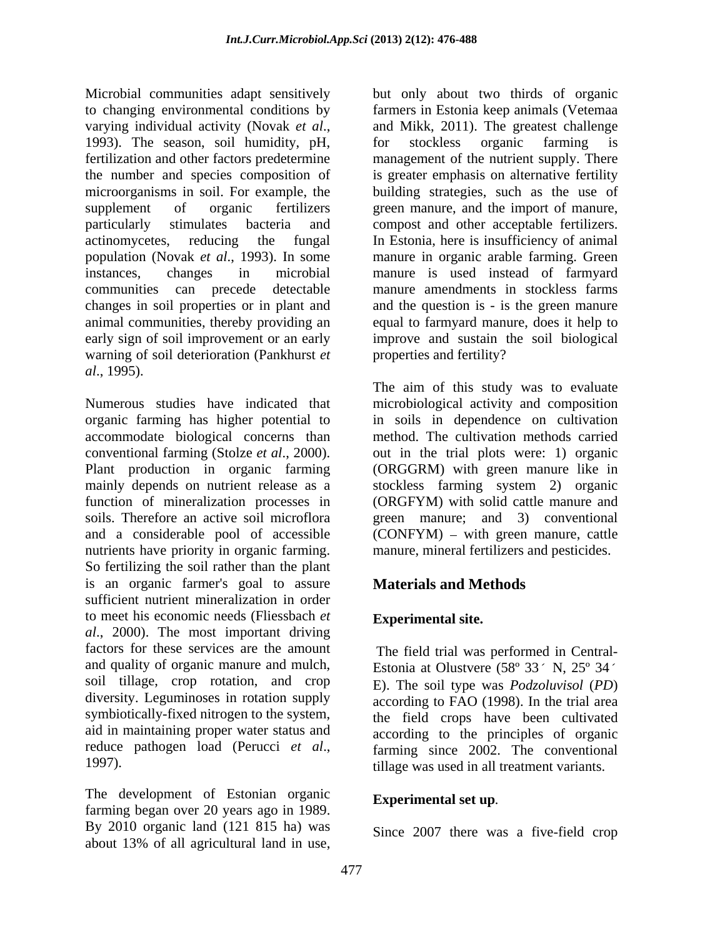Microbial communities adapt sensitively but only about two thirds of organic to changing environmental conditions by farmers in Estonia keep animals (Vetemaa varying individual activity (Novak *et al.*, and Mikk, 2011). The greatest challenge 1993). The season, soil humidity, pH, for stockless organic farming is fertilization and other factors predetermine management of the nutrient supply. There the number and species composition of is greater emphasis on alternative fertility microorganisms in soil. For example, the building strategies, such as the use of supplement of organic fertilizers green manure, and the import of manure, particularly stimulates bacteria and compost and other acceptable fertilizers. actinomycetes, reducing the fungal In Estonia, here is insufficiency of animal population (Novak *et al*., 1993). In some manure in organic arable farming. Green instances, changes in microbial manure is used instead of farmyard communities can precede detectable manure amendments in stockless farms changes in soil properties or in plant and and the question is - is the green manure animal communities, thereby providing an early sign of soil improvement or an early improve and sustain the soil biological warning of soil deterioration (Pankhurst *et* properties and fertility? *al*., 1995).

Numerous studies have indicated that microbiological activity and composition organic farming has higher potential to accommodate biological concerns than method. The cultivation methods carried conventional farming (Stolze *et al*., 2000). out in the trial plots were: 1) organic Plant production in organic farming (ORGGRM) with green manure like in mainly depends on nutrient release as a stockless farming system 2) organic function of mineralization processes in (ORGFYM) with solid cattle manure and soils. Therefore an active soil microflora green manure; and 3) conventional and a considerable pool of accessible (CONFYM) – with green manure, cattle nutrients have priority in organic farming. So fertilizing the soil rather than the plant is an organic farmer's goal to assure **Materials and Methods** sufficient nutrient mineralization in order to meet his economic needs (Fliessbach *et al*., 2000). The most important driving factors for these services are the amount The field trial was performed in Central and quality of organic manure and mulch, soil tillage, crop rotation, and crop diversity. Leguminoses in rotation supply symbiotically-fixed nitrogen to the system, aid in maintaining proper water status and reduce pathogen load (Perucci *et al.*, farming since 2002. The conventional 1997).

The development of Estonian organic farming began over 20 years ago in 1989. By 2010 organic land (121 815 ha) was about 13% of all agricultural land in use,

and Mikk, 2011). The greatest challenge for stockless organic farming is equal to farmyard manure, does it help to properties and fertility?

The aim of this study was to evaluate in soils in dependence on cultivation manure, mineral fertilizers and pesticides.

# **Materials and Methods**

# **Experimental site.**

Estonia at Olustvere ( $58^{\circ}$  33 $^{\prime}$  N,  $25^{\circ}$  34 $^{\prime}$ ) E). The soil type was *Podzoluvisol* (*PD*) according to FAO (1998). In the trial area the field crops have been cultivated according to the principles of organic farming since 2002. The conventional tillage was used in all treatment variants.

# **Experimental set up***.*

Since 2007 there was a five-field crop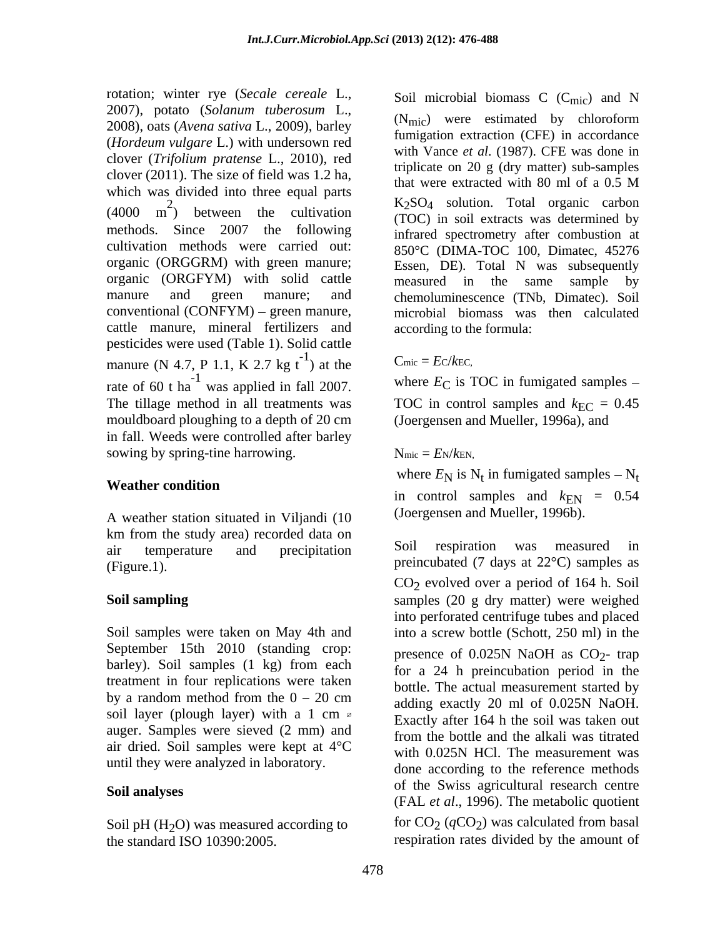rotation; winter rye (*Secale cereale* L., Soil microbial biomass C (C<sub>mic</sub>) and N 2007), potato (*Solanum tuberosum* L., 2008), oats (*Avena sativa* L., 2009), barley (*Hordeum vulgare* L.) with undersown red clover (*Trifolium pratense* L., 2010), red clover (2011). The size of field was 1.2 ha, that were extracted with 80 ml of a 0.5 M which was divided into three equal parts  $\text{m}^2$ ) between the cultivation cultivation methods were carried out: organic (ORGGRM) with green manure; organic (ORGFYM) with solid cattle measured in the same sample by conventional  $(CONFYM)$  – green manure, cattle manure, mineral fertilizers and pesticides were used (Table 1). Solid cattle manure (N 4.7, P 1.1, K 2.7 kg t<sup>-1</sup>) at the Cmic =  $E$ c/kEc, rate of 60 t ha<sup> $-1$ </sup> was applied in fall 2007. The tillage method in all treatments was TOC in control samples and  $k_{\text{EC}} = 0.45$ mouldboard ploughing to a depth of 20 cm in fall. Weeds were controlled after barley sowing by spring-tine harrowing.  $N_{\text{mic}} = E_N / k_{\text{EN}}$ ,

A weather station situated in Viljandi (10 km from the study area) recorded data on<br>
air temperature and precipitation Soil respiration was measured in

September 15th 2010 (standing crop: presence of 0.025N NaOH as  $CO<sub>2</sub>$ - trap barley). Soil samples (1 kg) from each treatment in four replications were taken by a random method from the  $0 - 20$  cm auger. Samples were sieved (2 mm) and air dried. Soil samples were kept at 4°C until they were analyzed in laboratory.

Soil pH (H<sub>2</sub>O) was measured according to for  $CO_2$  ( $qCO_2$ ) was calculated from basal<br>the standard ISO 10390:2005. respiration rates divided by the amount of the standard ISO 10390:2005. respiration rates divided by the amount of

 $(4000 \text{ m}^2)$  between the cultivation  $(TOC)$  in soil extracts was determined by  $K_2$ SO<sub>4</sub> solution. Total organic carbon methods. Since 2007 the following infrared spectrometry after combustion at manure and green manure; and chemoluminescence (TNb, Dimatec). Soil Soil microbial biomass  $C$  ( $C<sub>mic</sub>$ ) and N (Nmic) were estimated by chloroform fumigation extraction (CFE) in accordance with Vance *et al*. (1987). CFE was done in triplicate on 20 g (dry matter) sub-samples that were extracted with 80 ml of a 0.5 M (TOC) in soil extracts was determined by 850°C (DIMA-TOC 100, Dimatec, 45276 Essen, DE). Total N was subsequently measured in the same sample by microbial biomass was then calculated according to the formula:

### ) at the  $C_{\text{mic}} = EC/kEC$ ,  $C<sub>mic</sub> = Ec/k<sub>EC</sub>$

<sup>-1</sup> was applied in fall 2007. where  $E_C$  is TOC in fumigated samples – (Joergensen and Mueller, 1996a), and

# $N_{\text{mic}} = E_N/k_{\text{EN}},$

Weather condition **Weather condition** where  $E_N$  is  $N_t$  in fumigated samples  $-N_t$ in control samples and  $k_{EN} = 0.54$ (Joergensen and Mueller, 1996b).

air temperature and precipitation Soll respiration was measured in (Figure.1).  $\qquad \qquad$   $\qquad \qquad$   $\qquad \qquad$  preincubated (7 days at 22°C) samples as **Soil sampling** samples (20 g dry matter) were weighed Soil samples were taken on May 4th and into a screw bottle (Schott, 250 ml) in the soil layer (plough layer) with a 1 cm  $\sigma$  and  $\sigma$  exactly after 164 h the soil was taken out Soil analyses of the Swiss agricultural research centre Soil respiration was measured in CO2 evolved over a period of 164 h. Soil into perforated centrifuge tubes and placed presence of  $0.025N$  NaOH as  $CO<sub>2</sub>$ - trap for a 24 h preincubation period in the bottle. The actual measurement started by adding exactly 20 ml of 0.025N NaOH. Exactly after 164 h the soil was taken out from the bottle and the alkali was titrated with 0.025N HCl. The measurement was done according to the reference methods (FAL *et al*., 1996). The metabolic quotient for  $CO_2$  ( $qCO_2$ ) was calculated from basal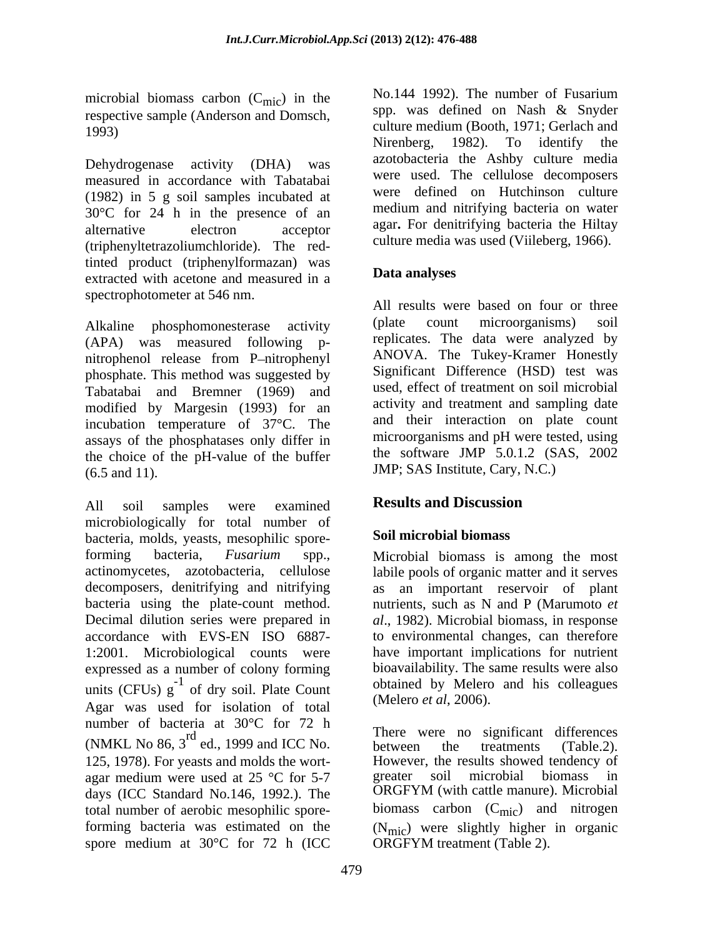microbial biomass carbon  $(C_{\text{mic}})$  in the respective sample (Anderson and Domsch,

measured in accordance with Tabatabai (1982) in 5 g soil samples incubated at 30°C for 24 h in the presence of an (triphenyltetrazoliumchloride). The redtinted product (triphenylformazan) was<br>extracted with acetone and measured in a<br>**Data analyses** extracted with acetone and measured in a spectrophotometer at 546 nm.

Alkaline phosphomonesterase activity (plate count microorganisms) soil (APA) was measured following p nitrophenol release from P-nitrophenyl ANOVA. The Tukey-Kramer Honestly phosphate. This method was suggested by Tabatabai and Bremner (1969) and modified by Margesin (1993) for an incubation temperature of 37°C. The assays of the phosphatases only differ in the choice of the pH-value of the buffer (6.5 and 11). JMP; SAS Institute, Cary, N.C.)

All soil samples were examined **Results and Discussion** microbiologically for total number of<br>hacteria molds veasts mesophilic spore. Soil microbial biomass bacteria, molds, yeasts, mesophilic sporeforming bacteria, *Fusarium* spp., Microbial biomass is among the most actinomycetes, azotobacteria, cellulose labile pools of organic matter and it serves decomposers, denitrifying and nitrifying as an important reservoir of plant bacteria using the plate-count method. nutrients, such as N and P (Marumoto *et*  Decimal dilution series were prepared in *al*., 1982). Microbial biomass, in response accordance with EVS-EN ISO 6887- to environmental changes, can therefore 1:2001. Microbiological counts were expressed as a number of colony forming units (CFUs)  $g^{\text{-}}$  of dry soil. Plate Count conditional by Melero and his coneagues Agar was used for isolation of total number of bacteria at 30°C for 72 h (NMKL No 86,  $3^{\text{rd}}$  ed., 1999 and ICC No. There were no significant differences (Table.2). 125, 1978). For yeasts and molds the wort- However, the results showed tendency of agar medium were used at  $25 \text{ °C}$  for  $5\text{-}7$  greater soil microbial biomass in days (ICC Standard No. 146, 1992) The ORGFYM (with cattle manure). Microbial days (ICC Standard No.146, 1992.). The total number of aerobic mesophilic spore-<br>biomass carbon  $(C_{\text{mic}})$  and nitrogen forming bacteria was estimated on the  $(N_{\text{mic}})$  were slightly higher in organic spore medium at 30°C for 72 h (ICC

) in the No.144 1992). The number of Fusarium 1993) culture medium (Booth, 1971; Gerlach and Dehydrogenase activity (DHA) was azotobacteria the Ashby culture media alternative electron acceptor agar. For denimitying bacteria the Hillay spp. was defined on Nash & Snyder Nirenberg, 1982). To identify the azotobacteria the Ashby culture media were used. The cellulose decomposers were defined on Hutchinson culture medium and nitrifying bacteria on water agar**.** For denitrifying bacteria the Hiltay culture media was used (Viileberg, 1966).

# **Data analyses**

All results were based on four or three (plate count microorganisms) soil replicates. The data were analyzed by ANOVA. The Tukey-Kramer Honestly Significant Difference (HSD) test was used, effect of treatment on soil microbial activity and treatment and sampling date and their interaction on plate count microorganisms and pH were tested, using the software JMP 5.0.1.2 (SAS, 2002

# **Results and Discussion**

# **Soil microbial biomass**

<sup>-1</sup> of dry soil Plate Count obtained by Melero and his colleagues have important implications for nutrient bioavailability. The same results were also (Melero *et al*, 2006).

 $r d$  at 50 c for  $\frac{1}{2}$  in<br>There were no significant differences ed., 1999 and ICC No. between the treatments (Table.2). between the treatments (Table.2). greater soil microbial biomass in ORGFYM (with cattle manure). Microbial ORGFYM treatment (Table 2).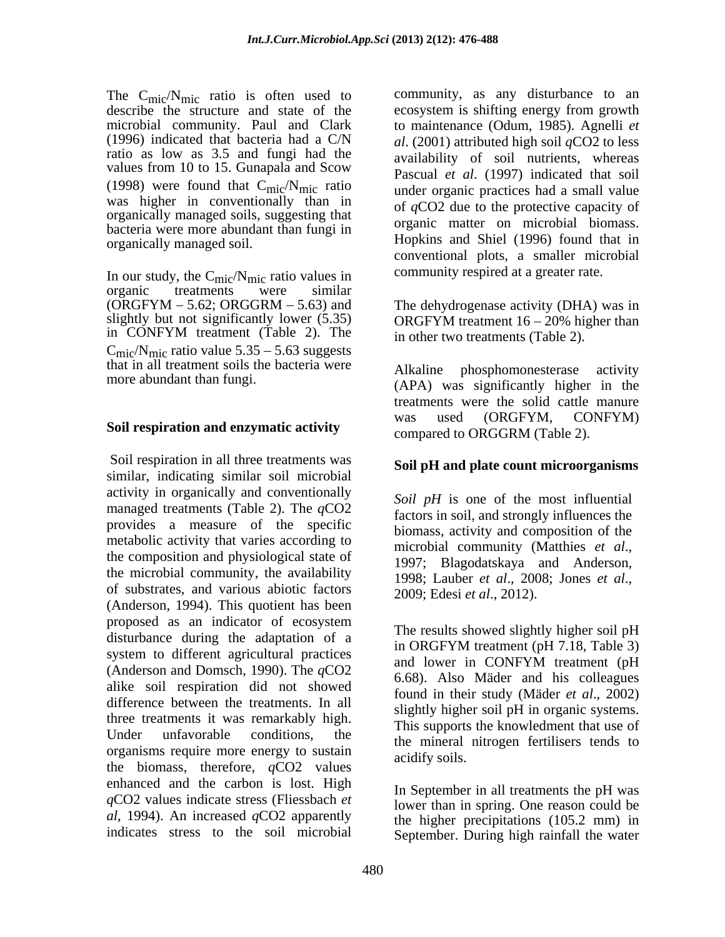The  $C_{\text{mic}}/N_{\text{mic}}$  ratio is often used to describe the structure and state of the microbial community. Paul and Clark<br>(1996) indicated that bacteria had a C/N ratio as low as 3.5 and fungi had the values from 10 to 15. Gunapala and Scow (1998) were found that  $C_{\text{mic}}/N_{\text{mic}}$  ratio was higher in conventionally than in organically managed soils, suggesting that bacteria were more abundant than fungi in

In our study, the  $C_{\text{mic}}/N_{\text{mic}}$  ratio values in organic treatments were similar organic treatments were similar  $(ORGFYM - 5.62; ORGGRM - 5.63)$  and The dehydrogenase activity (DHA) was in slightly but not significantly lower (5.35) in CONFYM treatment (Table 2). The in CONFYM treatment (Table 2). The  $\frac{1}{2}$  in other two treatments (Table 2)  $C_{\text{mic}}/N_{\text{mic}}$  ratio value 5.35 - 5.63 suggests that in all treatment soils the bacteria were<br>more abundant than fungi.  $(ADA)$ 

Soil respiration in all three treatments was similar, indicating similar soil microbial activity in organically and conventionally managed treatments (Table 2). The *q*CO2 provides a measure of the specific metabolic activity that varies according to<br>microbial community (Matthies *et al.*, the composition and physiological state of the 1997; Blagodatskaya and Anderson, the microbial community, the availability  $1998$ ; Lauber *et al.*, 2008; Jones *et al.*, of substrates, and various abiotic factors  $2009$ ; Edesi et al., 2012). (Anderson, 1994). This quotient has been proposed as an indicator of ecosystem disturbance during the adaptation of a<br>in ORGFYM treatment (pH 7.18, Table 3) system to different agricultural practices and lower in CONFYM treatment (pH (Anderson and Domsch, 1990). The *q*CO2 alike soil respiration did not showed difference between the treatments. In all three treatments it was remarkably high. Under unfavorable conditions, the the mineral nitrogen fertilisers tends to organisms require more energy to sustain acidify soils. the biomass, therefore, *q*CO2 values enhanced and the carbon is lost. High *q*CO2 values indicate stress (Fliessbach *et al*, 1994). An increased *q*CO2 apparently indicates stress to the soil microbial

(1996) indicated that bacteria had a C/N *al*. (2001) attributed high soil *q*CO2 to less organically managed soil. Hopkins and Shiel (1996) found that in community, as any disturbance to an ecosystem is shifting energy from growth to maintenance (Odum, 1985). Agnelli *et*  availability of soil nutrients, whereas Pascual *et al*. (1997) indicated that soil under organic practices had a small value of *q*CO2 due to the protective capacity of organic matter on microbial biomass. conventional plots, a smaller microbial community respired at a greater rate.

> ORGFYM treatment  $16 - 20\%$  higher than in other two treatments (Table 2).

more abundant than fungi.<br>
(APA) was significantly higher in the **Soil respiration and enzymatic activity** was used (ORGFYM, CONFYM) phosphomonesterase activity treatments were the solid cattle manure was used (ORGFYM, CONFYM) compared to ORGGRM (Table 2).

### **Soil pH and plate count microorganisms**

*Soil pH* is one of the most influential factors in soil, and strongly influences the biomass, activity and composition of the microbial community (Matthies *et al*., 1997; Blagodatskaya and Anderson, 1998; Lauber *et al*., 2008; Jones *et al*., 2009; Edesi *et al*., 2012).

The results showed slightly higher soil pH in ORGFYM treatment (pH 7.18, Table 3) and lower in CONFYM treatment (pH 6.68). Also Mäder and his colleagues found in their study (Mäder *et al*., 2002) slightly higher soil pH in organic systems. This supports the knowledment that use of acidify soils.

In September in all treatments the pH was lower than in spring. One reason could be the higher precipitations (105.2 mm) in September. During high rainfall the water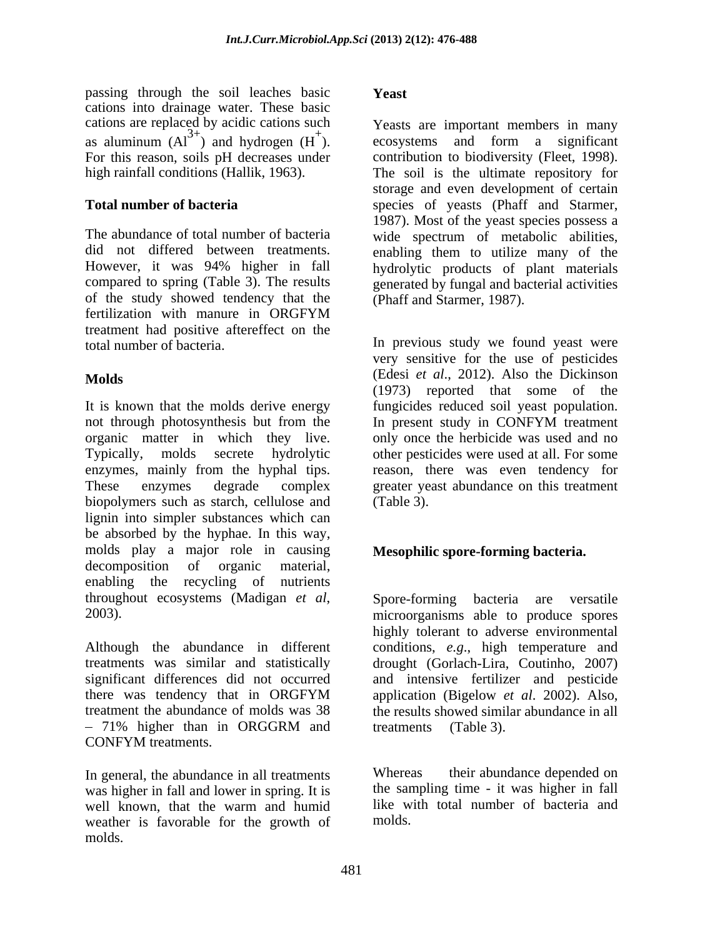passing through the soil leaches basic cations into drainage water. These basic cations are replaced by acidic cations such as aluminum  $(AI^{3+})$  and hydrogen  $(H^+)$ .<br>For this reason, soils pH decreases under

of the study showed tendency that the fertilization with manure in ORGFYM treatment had positive aftereffect on the total number of bacteria. In previous study we found yeast were

It is known that the molds derive energy fungicides reduced soil yeast population. not through photosynthesis but from the In present study in CONFYM treatment organic matter in which they live. only once the herbicide was used and no Typically, molds secrete hydrolytic other pesticides were used at all. For some enzymes, mainly from the hyphal tips. These enzymes degrade complex greater yeast abundance on this treatment biopolymers such as starch, cellulose and (Table 3). lignin into simpler substances which can be absorbed by the hyphae. In this way, molds play a major role in causing decomposition of organic material, enabling the recycling of nutrients throughout ecosystems (Madigan *et al*, Spore-forming bacteria are versatile microorganisms able to produce spores

Although the abundance in different conditions, *e.g*., high temperature and treatments was similar and statistically drought (Gorlach-Lira, Coutinho, 2007) significant differences did not occurred and intensive fertilizer and pesticide there was tendency that in ORGFYM application (Bigelow *et al.* 2002). Also, treatment the abundance of molds was 38 the results showed similar abundance in all CONFYM treatments.

In general, the abundance in all treatments Whereas their abundance depended on was higher in fall and lower in spring. It is well known, that the warm and humid weather is favorable for the growth of molds.

## **Yeast**

<sup>+</sup>). ecosystems and form a significant For this reason, soils pH decreases under contribution to biodiversity (Fleet, 1998). high rainfall conditions (Hallik, 1963). The soil is the ultimate repository for **Total number of bacteria** species of yeasts (Phaff and Starmer, The abundance of total number of bacteria wide spectrum of metabolic abilities, did not differed between treatments. enabling them to utilize many of the However, it was 94% higher in fall hydrolytic products of plant materials compared to spring (Table 3). The results generated by fungal and bacterial activities Yeasts are important members in many storage and even development of certain 1987). Most of the yeast species possess a (Phaff and Starmer, 1987).

**Molds** (Edesi *et al*., 2012). Also the Dickinson very sensitive for the use of pesticides (1973) reported that some of the In present study in CONFYM treatment reason, there was even tendency for (Table 3).

# **Mesophilic spore-forming bacteria.**

71% higher than in ORGGRM and Spore-forming bacteria are versatile microorganisms able to produce spores highly tolerant to adverse environmental application (Bigelow *et al*. 2002). Also,

treatments (Table 3).<br>Whereas their abundance depended on the sampling time - it was higher in fall like with total number of bacteria and molds.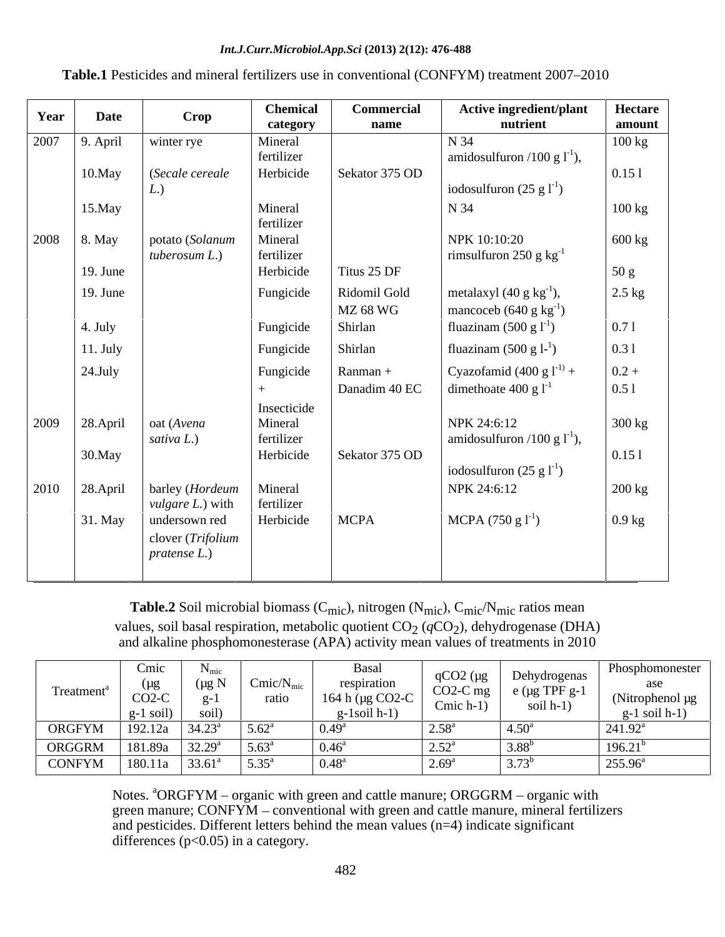### *Int.J.Curr.Microbiol.App.Sci* **(2013) 2(12): 476-488**

| Year | <b>Date</b>     | Crop                                                 | <b>Chemical</b><br>category | Commercial<br>name        | <b>Active ingredient/plant</b><br>nutrient                                      | Hectare<br>amount |
|------|-----------------|------------------------------------------------------|-----------------------------|---------------------------|---------------------------------------------------------------------------------|-------------------|
| 2007 | $9.$ April      | winter rye                                           | Mineral<br>fertilizer       |                           | N 34<br>amidosulfuron /100 g $1^{-1}$ ),                                        | 100 kg            |
|      | 10.May          | (Secale cereale                                      | Herbicide                   | Sekator 375 OD            | iodosulfuron $(25 \text{ g} l^{\text{-}1})$                                     | 0.151             |
|      | 15.May          |                                                      | Mineral<br>fertilizer       |                           | N 34                                                                            | 100 kg            |
| 2008 | $\vert$ 8. May  | potato (Solanum<br>tuberosum $L$ .)                  | Mineral<br>fertilizer       |                           | NPK 10:10:20<br>rimsulfuron 250 g $\text{kg}^{-1}$                              | 600 kg            |
|      | $19.$ June      |                                                      | Herbicide                   | Titus 25 DF               |                                                                                 | 50 g              |
|      | $19.$ June      |                                                      | Fungicide                   | Ridomil Gold<br>MZ 68 WG  | metalaxyl $(40 \text{ g kg}^{-1})$ ,<br>mancoceb $(640 \text{ g kg}^{-1})$      | $2.5$ kg          |
|      | 4. July         |                                                      | Fungicide                   | Shirlan                   | fluazinam $(500 \text{ g} l^1)$                                                 | 0.71              |
|      | $11.$ July      |                                                      | Fungicide                   | Shirlan                   | fluazinam $(500 \text{ g } 1^{-1})$                                             | 0.31              |
|      | $24$ . July     |                                                      | Fungicide<br>$+$            | Ranman +<br>Danadim 40 EC | Cyazofamid $(400 \text{ g l}^{-1})$<br>dimethoate 400 g $1^{-1}$                | $0.2 +$<br>0.51   |
| 2009 | 28.April        | oat (Avena                                           | Insecticide<br>Mineral      |                           | NPK 24:6:12                                                                     | 300 kg            |
|      | 30.May          | sativa $L$ .)                                        | fertilizer<br>Herbicide     | Sekator 375 OD            | amidosulfuron /100 g $1^{-1}$ ),<br>iodosulfuron $(25 \text{ g} l^{\text{-}1})$ | 0.151             |
|      | 2010   28.April | barley (Hordeum<br><i>vulgare L.</i> ) with          | Mineral<br>fertilizer       |                           | NPK 24:6:12                                                                     | 200 kg            |
|      | 31. May         | undersown red<br>clover (Trifolium<br>$pratense$ L.) | Herbicide                   | <b>MCPA</b>               | MCPA $(750 \text{ g } l^{\text{-}1})$                                           | $0.9$ kg          |

Table.1 Pesticides and mineral fertilizers use in conventional (CONFYM) treatment 2007-2010

Table.2 Soil microbial biomass (C<sub>mic</sub>), nitrogen (N<sub>mic</sub>), C<sub>mic</sub>/N<sub>mic</sub> ratios mean values, soil basal respiration, metabolic quotient CO<sub>2</sub> (qCO<sub>2</sub>), dehydrogenase (DHA) and alkaline phosphomonesterase (APA) activity mean values of treatments in 2010

| Treatment <sup>a</sup> | $\mathcal{L}$ mic<br>$CO2-C$<br>$\left  \right $ g-1 soil) | Cmic/N <sub>m</sub><br>raus | вasaı<br>respiratio.<br>164 h ( $\mu$ g CO2-C<br>र्-Isoil h-I) | $qCO2$ (µg<br>Cmic $h-1$ ) | Dehydrogenas<br>$\sim$ CO2-C mg $\vert$ e (µg TPF g-1 $\vert$<br>soil $h-1$ ) | Phosphomonester<br>(Nitrophenol µg<br>g-1 soil $h-1$ ) |
|------------------------|------------------------------------------------------------|-----------------------------|----------------------------------------------------------------|----------------------------|-------------------------------------------------------------------------------|--------------------------------------------------------|
| ORGFYM                 | 192.12a   $34.23^a$                                        | $5.62^{\circ}$              |                                                                |                            | $4.50^{\circ}$                                                                | 241.92                                                 |
| ORGGRM                 | $181.89a$ 32.29 <sup>a</sup>                               | $5.63^{\circ}$              |                                                                |                            | $3.88^{b}$                                                                    | 196.2.                                                 |
| CONFYM                 | $180.11a$ 33.61 <sup>a</sup>                               | $5.35^{\circ}$              |                                                                |                            | $3.73^b$                                                                      | 255.96                                                 |

Notes.  $^{4}$ ORGFYM – organic with green and cattle manure; ORGGRM – organic with green manure;  $CONF<sub>M</sub> - conventional with green and cattle manure, mineral fertilizers$ and pesticides. Different letters behind the mean values (n=4) indicate significant differences  $(p<0.05)$  in a category.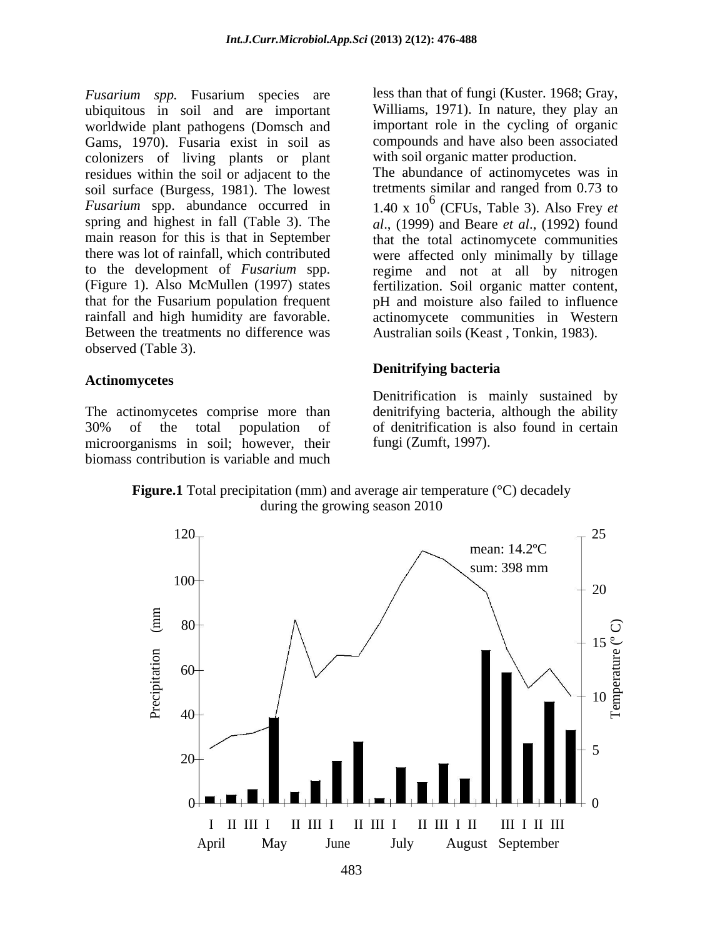*Fusarium spp.* Fusarium species are ubiquitous in soil and are important worldwide plant pathogens (Domsch and Gams, 1970). Fusaria exist in soil as colonizers of living plants or plant residues within the soil or adjacent to the soil surface (Burgess, 1981). The lowest spring and highest in fall (Table 3). The Between the treatments no difference was observed (Table 3).

### **Actinomycetes**

The actinomycetes comprise more than microorganisms in soil; however, their biomass contribution is variable and much less than that of fungi (Kuster. 1968; Gray, Williams, 1971). In nature, they play an important role in the cycling of organic compounds and have also been associated with soil organic matter production.

*Fusarium* spp. abundance occurred in 1.40 x 10 6 (CFUs, Table 3). Also Frey *et*  main reason for this is that in September that the total actinomycete communities there was lot of rainfall, which contributed were affected only minimally by tillage to the development of *Fusarium* spp. regime and not at all by nitrogen (Figure 1). Also McMullen (1997) states fertilization. Soil organic matter content, that for the Fusarium population frequent pH and moisture also failed to influence rainfall and high humidity are favorable. <br>actinomycete communities in Western The abundance of actinomycetes was in tretments similar and ranged from 0.73 to *al*., (1999) and Beare *et al*., (1992) found Australian soils (Keast , Tonkin, 1983).

### **Denitrifying bacteria**

30% of the total population of of denitrification is also found in certain Denitrification is mainly sustained by denitrifying bacteria, although the ability of denitrification is also found in certain fungi (Zumft, 1997).

**Figure.1** Total precipitation (mm) and average air temperature (°C) decadely during the growing season 2010

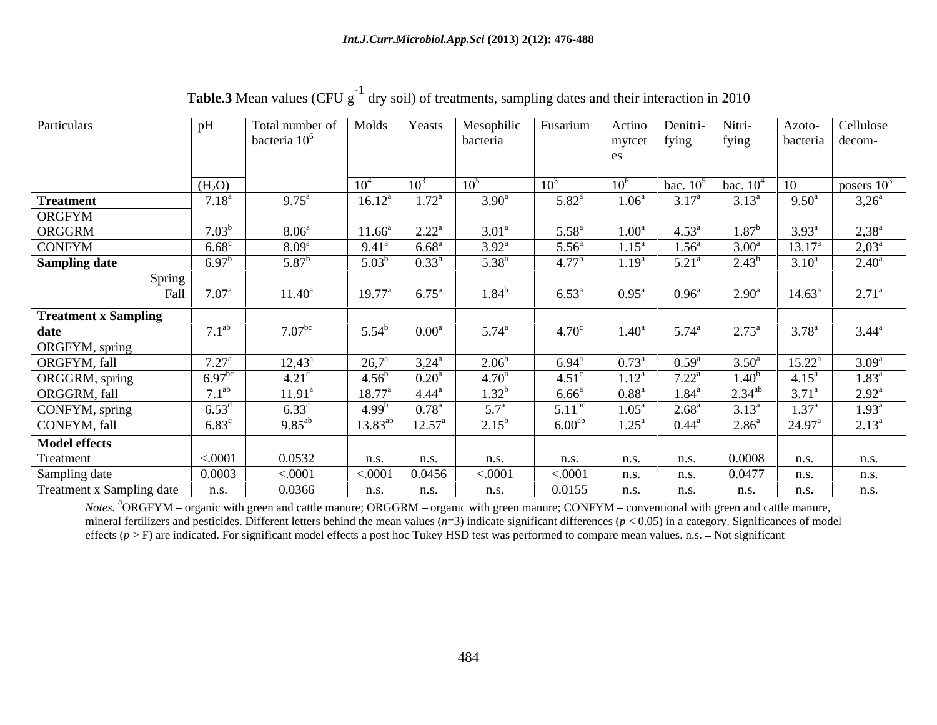|                             | nH                                                |                                  |                    |                     |                   |                    |                              |                   |                           |                 |                   |
|-----------------------------|---------------------------------------------------|----------------------------------|--------------------|---------------------|-------------------|--------------------|------------------------------|-------------------|---------------------------|-----------------|-------------------|
| Particulars                 |                                                   | Total number of   Molds   Yeasts |                    |                     | Mesophilic        | <b>Fusarium</b>    | Actino                       | Denitri-          | Nitri-                    | Azoto-          | Cellulose         |
|                             |                                                   | bacteria $106$                   |                    |                     | bacteria          |                    |                              | $mytct$   fying   | fying                     | bacteria decom- |                   |
|                             |                                                   |                                  |                    |                     |                   |                    |                              |                   |                           |                 |                   |
|                             |                                                   |                                  |                    |                     |                   |                    |                              |                   |                           |                 |                   |
|                             | $\frac{(H_2O)}{7.18^a}$                           |                                  | 10 <sup>4</sup>    | $10^3$              | 10 <sup>5</sup>   | $10^3$             | 10 <sup>6</sup>              |                   | bac. $10^5$   bac. $10^4$ | $\overline{10}$ | posers $10^3$     |
| <b>Treatment</b>            |                                                   | $9.75^{\text{a}}$                | $16.12^{\text{a}}$ | $1.72^{\rm a}$      | $3.90^{\rm a}$    | $5.82^{\circ}$     | $1.06^{\circ}$               | $3.17^{\circ}$    | $3.13^{\circ}$            | $9.50^{\circ}$  | $3,26^{\circ}$    |
| ORGFYM                      |                                                   |                                  |                    |                     |                   |                    |                              |                   |                           |                 |                   |
| ORGGRM                      | 7.03 <sup>b</sup>                                 | 8.06 <sup>a</sup>                | $11.66^{\circ}$    | $2.22^{\rm a}$      | $3.01^{\circ}$    | $5.58^{\circ}$     | 1.00 <sup>a</sup>            | $4.53^{\circ}$    | $1.87^{\rm b}$            | $3.93^{\circ}$  | $2,38^{\rm a}$    |
| CONFYM                      | $6.68^{\circ}$                                    | $8.09^{a}$                       | $9.41^{\circ}$     | $6.68^{\rm a}$      | $3.92^{\rm a}$    | 5.56 <sup>a</sup>  | $1.15^{\circ}$               | 1.56 <sup>a</sup> | 3.00 <sup>a</sup>         |                 | $2,03^{\rm a}$    |
| <b>Sampling date</b>        | $6.97^{b}$                                        | $5.87^{\rm b}$                   | $5.03^{b}$         | $0.33^{b}$          | $5.38^{a}$        | 4.77 <sup>b</sup>  | $1.19^{a}$                   | $5.21^{\circ}$    | $2.43^{b}$                | $3.10^a$        | $2.40^{\circ}$    |
|                             |                                                   |                                  |                    |                     |                   |                    |                              |                   |                           |                 |                   |
|                             | Spring<br>$7.07^{\text{a}}$<br>Fall               | $11.40^{\circ}$                  | $19.77^{\circ}$    | $6.75^{\mathrm{a}}$ | $1.84^{\rm b}$    | $6.53^{\rm a}$     | $\overline{0.95}^{\text{a}}$ | $0.96^{\rm a}$    | $2.90^{\rm a}$            | $14.63^{\circ}$ | $2.71^{\circ}$    |
|                             |                                                   |                                  |                    |                     |                   |                    |                              |                   |                           |                 |                   |
| <b>Treatment x Sampling</b> |                                                   |                                  |                    |                     |                   |                    |                              |                   |                           |                 |                   |
| date                        | 7.1 <sup>ab</sup>                                 | 7.07 <sup>bc</sup>               | $5.54^b$           | $0.00^{\text{a}}$   | $5.74^{\rm a}$    | 4.70 <sup>c</sup>  | $1.40^{\circ}$               | $5.74^{\circ}$    | $2.75^{\circ}$            | $3.78^{a}$      | $3.44^{\rm a}$    |
| ORGFYM, spring              |                                                   |                                  |                    |                     |                   |                    |                              |                   |                           |                 |                   |
| ORGFYM, fall                | $7.27^{\rm a}$                                    | $12,43^{\circ}$                  | $26,7^{\rm a}$     | $3,24^{\circ}$      | 2.06 <sup>b</sup> | $6.94^{\rm a}$     | $0.73^{\rm a}$               | $0.59^{a}$        | $3.50^{\circ}$            | $15.22^{\rm a}$ | $3.09^{\rm a}$    |
| ORGGRM, spring              |                                                   | $4.21^\circ$                     | $4.56^{\rm b}$     | $0.20^{\rm a}$      | $4.70^{\rm a}$    | $4.51^{\circ}$     | $1.12^{\rm a}$               | $7.22^{\text{a}}$ | $1.40^{\rm b}$            | $4.15^{\rm a}$  | $1.83^{\text{a}}$ |
| ORGGRM, fall                |                                                   | $11.91^{\circ}$                  | $18.77^{\circ}$    | $4.44^{\rm a}$      | $1.32^{b}$        | $6.66^{\circ}$     | 0.88 <sup>a</sup>            | $1.84^{a}$        | $2.34^{ab}$               | $3.71^{\circ}$  | $2.92^{\rm a}$    |
|                             | $\frac{6.97^{bc}}{7.1^{ab}}$<br>6.53 <sup>d</sup> |                                  |                    |                     |                   |                    |                              |                   |                           |                 |                   |
| CONFYM, spring              |                                                   | $6.33^{\circ}$                   | 4.99 <sup>b</sup>  | $0.78^{\rm a}$      | 5.7 <sup>a</sup>  | 5.11 <sup>bc</sup> | $1.05^{\rm a}$               | $2.68^{\rm a}$    |                           | $1.37^{\rm a}$  | $1.93^{\circ}$    |
| CONFYM, fall                | $6.83^{\circ}$                                    | $9.85^{ab}$                      | $13.83^{ab}$       | $12.57^{\circ}$     | $2.15^{\rm b}$    | $6.00^{ab}$        | $1.25^{\circ}$               | $0.44^{\circ}$    | $2.86^{\circ}$            | $24.97^{\circ}$ | $2.13^{\circ}$    |
| <b>Model effects</b>        |                                                   |                                  |                    |                     |                   |                    |                              |                   |                           |                 |                   |
| Treatment                   | < .0001                                           | 0.0532                           | n.s.               | n.s.                | n.s.              | n.s.               | n.s.                         | n.s.              | 0.0008                    | n.s.            | n.s.              |
| Sampling date               | 0.0003                                            | < .0001                          | < 0001             | 0.0456              | < .0001           | < .0001            | n.s.                         | n.s.              | 0.0477                    | n.s.            | n.s.              |
| Treatment x Sampling date   | n.s.                                              | 0.0366                           | n.s.               | n.s.                | n.s.              | 0.0155             | n.s.                         | n.s.              | n.S.                      | n.s.            | n.s.              |

**Table.3** Mean values (CFU  $g^{-1}$  dry soil) of treatments, sampling dates and their interaction in 2010

*Notes.* <sup>a</sup>ORGFYM – organic with green and cattle manure; ORGGRM – organic with green manure; CONFYM – conventional with green and cattle manure, mineral fertilizers and pesticides. Different letters behind the mean values  $(n=3)$  indicate significant differences  $(p < 0.05)$  in a category. Significances of model effects ( $p > F$ ) are indicated. For significant model effects a post hoc Tukey HSD test was performed to compare mean values. n.s.  $-$  Not significant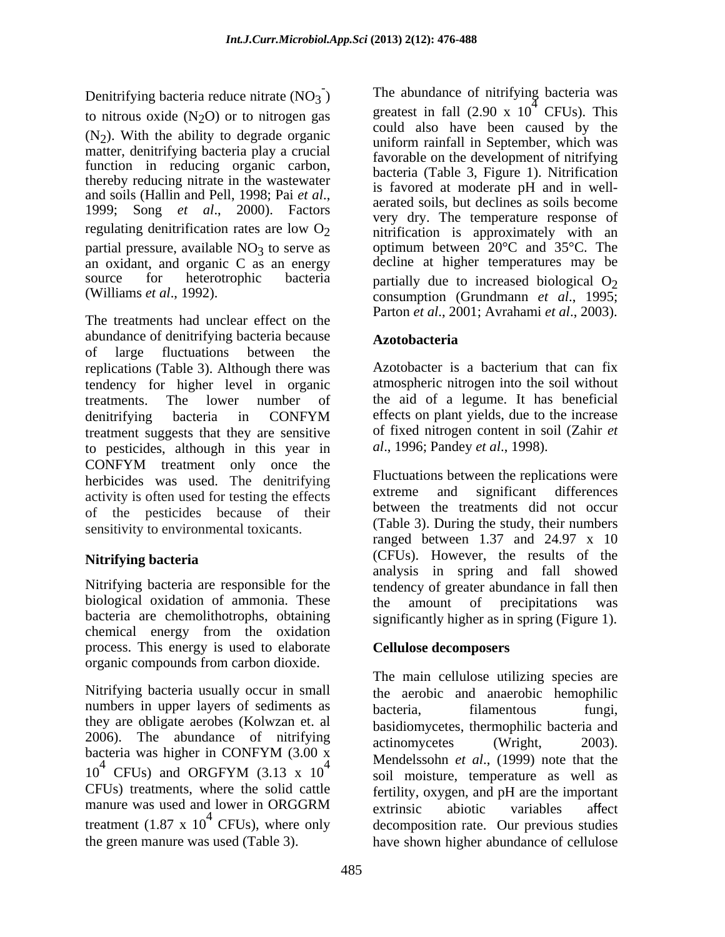Denitrifying bacteria reduce nitrate  $(NO_3)$ to nitrous oxide  $(N_2O)$  or to nitrogen gas  $(N<sub>2</sub>)$ . With the ability to degrade organic matter, denitrifying bacteria play a crucial function in reducing organic carbon, thereby reducing nitrate in the wastewater<br>and soils (Hallin and Pell, 1998; Pai et al., partial pressure, available  $NO<sub>3</sub>$  to serve as an oxidant, and organic C as an energy

The treatments had unclear effect on the abundance of denitrifying bacteria because<br>Azotobacteria of large fluctuations between the replications (Table 3). Although there was tendency for higher level in organic treatments. The lower number of the aid of a legume. It has beneficial denitrifying bacteria in CONFYM effects on plant yields, due to the increase treatment suggests that they are sensitive to pesticides, although in this year in CONFYM treatment only once the herbicides was used. The denitrifying Fluctuations between the replications were<br>extreme and significant differences activity is often used for testing the effects of the pesticides because of their sensitivity to environmental toxicants.

Nitrifying bacteria are responsible for the tendency of greater abundance in fall then biological oxidation of ammonia. These the amount of precipitations was bacteria are chemolithotrophs, obtaining chemical energy from the oxidation process. This energy is used to elaborate organic compounds from carbon dioxide.

Nitrifying bacteria usually occur in small numbers in upper layers of sediments as bacteria, filamentous fungi, they are obligate aerobes (Kolwzan et. al 2006). The abundance of nitrifying actinomycetes (Wright, 2003). treatment (1.87 x  $10^4$  CFUs), where only

- ) The abundance of nitrifying bacteria was and soils (Hallin and Pell, 1998; Pai *et al.*,<br>1999; Song *et al.*, 2000). Factors very dry The temperature response of regulating denitrification rates are low  $O_2$  initrification is approximately with an source for heterotrophic bacteria partially due to increased biological  $O_2$ (Williams *et al*., 1992). consumption (Grundmann *et al*., 1995; greatest in fall  $(2.90 \times 10^4 \text{ CFUs})$ . This  $4^4$  CFUs). This could also have been caused by the uniform rainfall in September, which was favorable on the development of nitrifying bacteria (Table 3, Figure 1). Nitrification is favored at moderate pH and in well aerated soils, but declines as soils become very dry. The temperature response of optimum between 20°C and 35°C. The decline at higher temperatures may be Parton *et al*., 2001; Avrahami *et al*., 2003).

# **Azotobacteria**

Azotobacter is a bacterium that can fix atmospheric nitrogen into the soil without effects on plant yields, due to the increase of fixed nitrogen content in soil (Zahir *et al*., 1996; Pandey *et al*., 1998).

**Nitrifying bacteria** and the control of the control of the control of the control of the control of the control of the control of the control of the control of the control of the control of the control of the control of t Fluctuations between the replications were extreme and significant differences between the treatments did not occur (Table 3). During the study, their numbers ranged between 1.37 and 24.97 x 10 (CFUs). However, the results of the analysis in spring and fall showed the amount of precipitations was significantly higher as in spring (Figure 1).

### **Cellulose decomposers**

bacteria was higher in CONFYM  $(3.00 \text{ x})$  Mandelssohn et al. (1000) note that the  $10^4$  CFUs) and ORGFYM (3.13 x  $10^4$  menders of the all (1999) note that the 4 Mendelssohn *et al*., (1999) note that the CFUs) treatments, where the solid cattle fertility, oxygen, and pH are the important manure was used and lower in ORGGRM extrinsic abiotic variables affect <sup>4</sup> CFUs), where only decomposition rate. Our previous studies the green manure was used (Table 3). have shown higher abundance of celluloseThe main cellulose utilizing species are the aerobic and anaerobic hemophilic bacteria, filamentous fungi, basidiomycetes, thermophilic bacteria and actinomycetes (Wright, 2003). soil moisture, temperature as well as extrinsic abiotic variables affect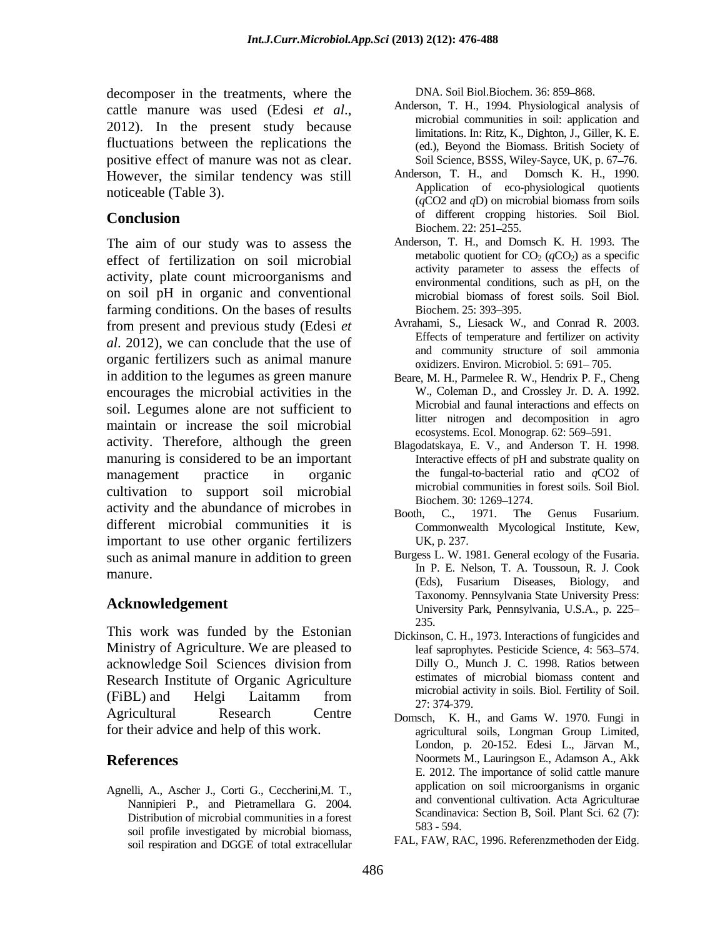decomposer in the treatments, where the cattle manure was used (Edesi *et al.*,<br>2012). In the present study because  $2012$ . In the present study because  $2012$ . fluctuations between the replications the positive effect of manure was not as clear. However, the similar tendency was still

The aim of our study was to assess the effect of fertilization on soil microbial activity, plate count microorganisms and on soil pH in organic and conventional farming conditions. On the bases of results Biochem. 25: 393–395. from present and previous study (Edesi *et al*. 2012), we can conclude that the use of organic fertilizers such as animal manure in addition to the legumes as green manure encourages the microbial activities in the soil. Legumes alone are not sufficient to maintain or increase the soil microbial activity. Therefore, although the green manuring is considered to be an important management practice in organic the fungal-to-bacterial ratio and *q*CO2 of cultivation to support soil microbial microbial biochem 30: 1269–1274. activity and the abundance of microbes in Booth, C., 1971. The Genus Fusarium. different microbial communities it is important to use other organic fertilizers UK, p. 237. such as animal manure in addition to green

This work was funded by the Estonian  $\frac{235}{\text{Nickinos}}$ Ministry of Agriculture. We are pleased to acknowledge Soil Sciences division from Research Institute of Organic Agriculture  $(FiBL)$  and Helgi Laitamm from  $\frac{1}{27 \cdot 374.370}$   $F_iB_i$  and Helgi Laitamm from  $\frac{1}{27 \cdot 374.370}$ Agricultural Research Centre Domsch, K. H., and Gams W. 1970. Fungi in

Agnelli, A., Ascher J., Corti G., Ceccherini,M. T., Nannipieri P., and Pietramellara G. 2004. Distribution of microbial communities in a forest container scandinavial profile investigated by microbial biomeca 583 - 594. soil profile investigated by microbial biomass, soil respiration and DGGE of total extracellular

DNA. Soil Biol.Biochem. 36: 859-868.

- Anderson, T. H., 1994. Physiological analysis of microbial communities in soil: application and limitations. In: Ritz, K., Dighton, J., Giller, K. E. (ed.), Beyond the Biomass. British Society of Soil Science, BSSS, Wiley-Sayce, UK, p. 67-76.
- noticeable (Table 3). Application of eco-physiological quotients<br>
(CO2 and D) an minutial biases from sails **Conclusion** of different cropping histories. Soil Biol. Anderson, T. H., and Domsch K. H., 1990. (*q*CO2 and *q*D) on microbial biomass from soils of different cropping histories. Soil Biol. Biochem. 22: 251–255.
	- Anderson, T. H., and Domsch K. H. 1993. The metabolic quotient for  $CO<sub>2</sub> (qCO<sub>2</sub>)$  as a specific activity parameter to assess the effects of environmental conditions, such as pH, on the microbial biomass of forest soils. Soil Biol. Biochem. 25: 393–395.
	- Avrahami, S., Liesack W., and Conrad R. 2003. Effects of temperature and fertilizer on activity and community structure of soil ammonia oxidizers. Environ. Microbiol. 5: 691-705.
	- Beare, M. H., Parmelee R. W., Hendrix P. F., Cheng W., Coleman D., and Crossley Jr. D. A. 1992. Microbial and faunal interactions and effects on litter nitrogen and decomposition in agro ecosystems. Ecol. Monograp. 62: 569–591.
	- Blagodatskaya, E. V., and Anderson T. H. 1998. Interactive effects of pH and substrate quality on microbial communities in forest soils. Soil Biol. Biochem. 30: 1269–1274.
	- Booth, C., 1971. The Genus Fusarium. Commonwealth Mycological Institute, Kew, UK, p. 237.
- manure.<br>
Eds., Fusarium Diseases, Biology, and<br>
(Eds., Fusarium Diseases, Biology, and **Acknowledgement Acknowledgement Changing** *Lemsylvania* State Chiversity Press. Burgess L. W. 1981. General ecology of the Fusaria. In P. E. Nelson, T. A. Toussoun, R. J. Cook (Eds), Fusarium Diseases, Biology, and Taxonomy. Pennsylvania State University Press: 235.
	- Dickinson, C. H., 1973. Interactions of fungicides and leaf saprophytes. Pesticide Science, 4: 563-574. Dilly O., Munch J. C. 1998. Ratios between estimates of microbial biomass content and microbial activity in soils. Biol. Fertility of Soil. 27: 374-379.
- for their advice and help of this work. agricultural soils, Longman Group Limited, **References** Noormets M., Lauringson E., Adamson A., Akk London, p. 20-152. Edesi L., Järvan M., E. 2012. The importance of solid cattle manure application on soil microorganisms in organic and conventional cultivation. Acta Agriculturae Scandinavica: Section B, Soil. Plant Sci. 62 (7): 583 - 594.
	- FAL, FAW, RAC, 1996. Referenzmethoden der Eidg.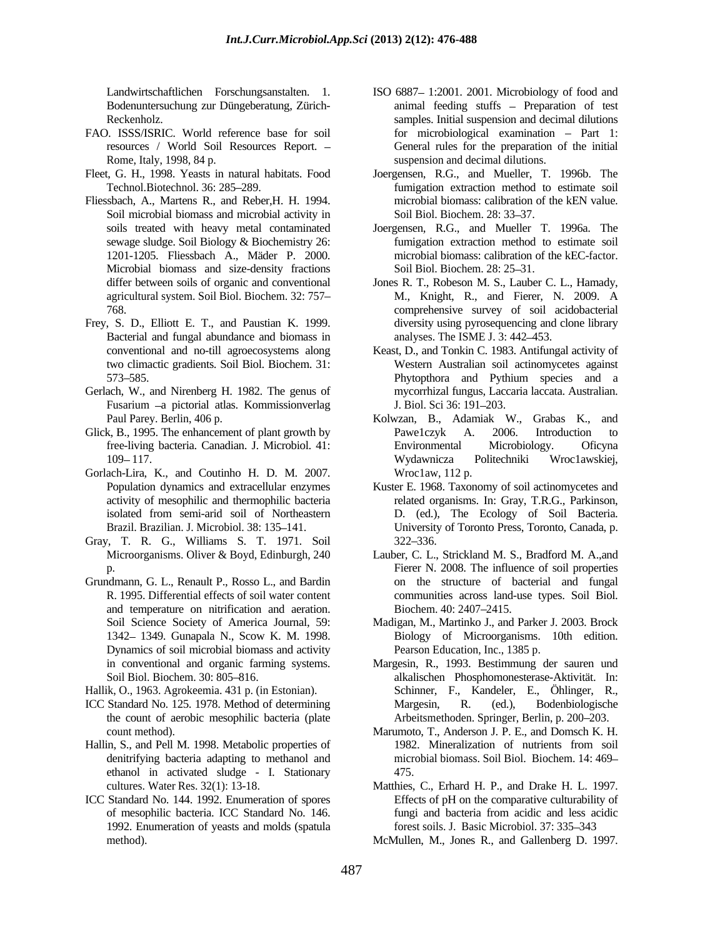- FAO. ISSS/ISRIC. World reference base for soil
- 
- Fliessbach, A., Martens R., and Reber,H. H. 1994. Soil microbial biomass and microbial activity in Soil Biol. Biochem. 28: 33–37. Microbial biomass and size-density fractions Soil Biol Biol Biochem 28: 25–31.
- Frey, S. D., Elliott E. T., and Paustian K. 1999. Bacterial and fungal abundance and biomass in two climactic gradients. Soil Biol. Biochem. 31:
- Gerlach, W., and Nirenberg H. 1982. The genus of Fusarium -a pictorial atlas. Kommissionverlag J. Biol. Sci 36: 191-203.
- 
- Gorlach-Lira, K., and Coutinho H. D. M. 2007.
- Gray, T. R. G., Williams S. T. 1971. Soil
- Grundmann, G. L., Renault P., Rosso L., and Bardin on thestructure of bacterial and fungal and temperature on nitrification and aeration. Dynamics of soil microbial biomass and activity
- Hallik, O., 1963. Agrokeemia. 431 p. (in Estonian).
- the count of aerobic mesophilic bacteria (plate
- ethanol in activated sludge I. Stationary
- ICC Standard No. 144. 1992. Enumeration of spores of mesophilic bacteria. ICC Standard No. 146. 1992. Enumeration of yeasts and molds (spatula
- Landwirtschaftlichen Forschungsanstalten. 1. ISO 6887 1:2001. 2001. Microbiology of food and Bodenuntersuchung zur Düngeberatung, Zürich- animal feeding stuffs – Preparation of test Reckenholz. samples. Initial suspension and decimal dilutions resources / World Soil Resources Report. – General rules for the preparation of the initial Rome, Italy, 1998, 84 p. suspension and decimal dilutions. for microbiological examination - Part 1:
- Fleet, G. H., 1998. Yeasts in natural habitats. Food Joergensen, R.G., and Mueller, T. 1996b. The Technol.Biotechnol. 36: 285 289. fumigation extraction method to estimate soil microbial biomass: calibration of the kEN value. Soil Biol. Biochem. 28: 33–37.
	- soils treated with heavy metal contaminated Joergensen, R.G., and Mueller T. 1996a. The sewage sludge. Soil Biology & Biochemistry 26: fumigation extraction method to estimate soil 1201-1205. Fliessbach A., Mäder P. 2000. microbial biomass: calibration of the kEC-factor. fumigation extraction method to estimate soil Soil Biol. Biochem. 28: 25–31.
	- differ between soils of organic and conventional Jones R. T., Robeson M. S., Lauber C. L., Hamady, agricultural system. Soil Biol. Biochem. 32: 757- M., Knight, R., and Fierer, N. 2009. A 768. comprehensive survey of soil acidobacterial M., Knight, R., and Fierer, N. 2009. A diversity using pyrosequencing and clone library analyses. The ISME J. 3: 442–453.
	- conventional and no-till agroecosystems along Keast, D., and Tonkin C. 1983. Antifungal activity of 573–585. Phytophora and Pythium species and a Western Australian soil actinomycetes against Phytopthora and Pythium species and a mycorrhizal fungus, Laccaria laccata. Australian. J. Biol. Sci 36: 191–203.
- Paul Parey. Berlin, 406 p. Kolwzan, B., Adamiak W., Grabas K., and Glick, B., 1995. The enhancement of plant growth by Pawe1czyk A. 2006. Introduction to free-living bacteria. Canadian. J. Microbiol. 41: 109 117. Pawe1czyk A. 2006. Introduction to Environmental Microbiology. Oficyna Wydawnicza Politechniki Wroc1awskiej, Wroc1aw, 112 p.
	- Population dynamics and extracellular enzymes Kuster E. 1968. Taxonomy of soil actinomycetes and activity of mesophilic and thermophilic bacteria related organisms. In: Gray, T.R.G., Parkinson, isolated from semi-arid soil of Northeastern D. (ed.), The Ecology of Soil Bacteria. Brazil. Brazilian. J. Microbiol. 38: 135–141. University of Toronto Press, Toronto, Canada, p. 322 336.
	- Microorganisms. Oliver & Boyd, Edinburgh, 240 Lauber, C. L., Strickland M. S., Bradford M. A.,and p. Fierer N. 2008. The influence of soil properties R. 1995. Differential effects of soil water content communities across land-use types. Soil Biol. Biochem. 40: 2407–2415.
	- Soil Science Society of America Journal, 59: Madigan, M., Martinko J., and Parker J. 2003. Brock 1342 1349. Gunapala N., Scow K. M. 1998. Biology of Microorganisms. 10th edition. Pearson Education, Inc., 1385 p.
- in conventional and organic farming systems. Margesin, R., 1993. Bestimmung der sauren und Soil Biol. Biochem. 30: 805 816. alkalischen Phosphomonesterase-Aktivität. In: ICC Standard No. 125. 1978. Method of determining Schinner, F., Kandeler, E., Öhlinger, R., Margesin, R. (ed.), Bodenbiologische Arbeitsmethoden. Springer, Berlin, p. 200–203.
- count method). Marumoto, T., Anderson J. P. E., and Domsch K. H. Hallin, S., and Pell M. 1998. Metabolic properties of 1982. Mineralization of nutrients from soil denitrifying bacteria adapting to methanol and microbial biomass. Soil Biol. Biochem. 14: 469 1982. Mineralization of nutrients from soil 475.
	- cultures. Water Res. 32(1): 13-18. Matthies, C., Erhard H. P., and Drake H. L. 1997. Effects of pH on the comparative culturability of fungi and bacteria from acidic and less acidic forest soils. J. Basic Microbiol. 37: 335-343
	- method). McMullen, M., Jones R., and Gallenberg D. 1997.